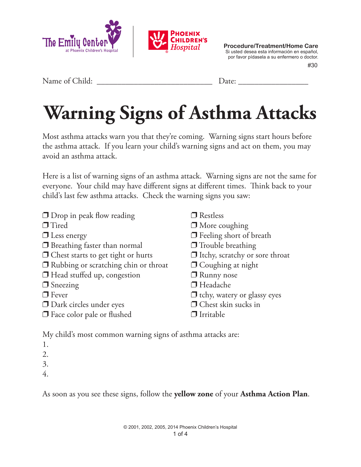

 #30 **Procedure/Treatment/Home Care** Si usted desea esta información en español, por favor pídasela a su enfermero o doctor.

Name of Child: \_\_\_\_\_\_\_\_\_\_\_\_\_\_\_\_\_\_\_\_\_\_\_\_\_\_\_\_ Date: \_\_\_\_\_\_\_\_\_\_\_\_\_\_\_\_\_

## **Warning Signs of Asthma Attacks**

Most asthma attacks warn you that they're coming. Warning signs start hours before the asthma attack. If you learn your child's warning signs and act on them, you may avoid an asthma attack.

Here is a list of warning signs of an asthma attack. Warning signs are not the same for everyone. Your child may have different signs at different times. Think back to your child's last few asthma attacks. Check the warning signs you saw:

| $\Box$ Drop in peak flow reading            | $\Box$ Restless                    |
|---------------------------------------------|------------------------------------|
| $\Box$ Tired                                | $\Box$ More coughing               |
| $\Box$ Less energy                          | $\Box$ Feeling short of breath     |
| $\Box$ Breathing faster than normal         | $\Box$ Trouble breathing           |
| $\Box$ Chest starts to get tight or hurts   | If Itchy, scratchy or sore throat  |
| $\Box$ Rubbing or scratching chin or throat | $\Box$ Coughing at night           |
| $\Box$ Head stuffed up, congestion          | $\Box$ Runny nose                  |
| $\Box$ Sneezing                             | $\Box$ Headache                    |
| $\Box$ Fever                                | $\Box$ tchy, watery or glassy eyes |
| $\Box$ Dark circles under eyes              | $\Box$ Chest skin sucks in         |
| $\Box$ Face color pale or flushed           | $\Box$ Irritable                   |
|                                             |                                    |

My child's most common warning signs of asthma attacks are:

- 1.
- 2.
- 3.
- 4.

As soon as you see these signs, follow the **yellow zone** of your **Asthma Action Plan**.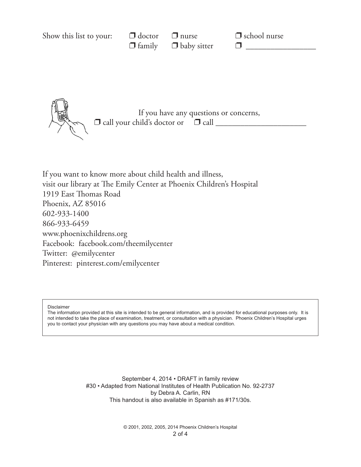| Show this list to your: | $\Box$ doctor | $\Box$ nurse<br>$\Box$ family $\Box$ baby sitter | $\Box$ school nurse |  |
|-------------------------|---------------|--------------------------------------------------|---------------------|--|
|                         |               |                                                  |                     |  |
|                         |               |                                                  |                     |  |
|                         |               |                                                  |                     |  |

If you have any questions or concerns,  $\Box$  call your child's doctor or  $\Box$  call  $\Box$ 

If you want to know more about child health and illness, visit our library at The Emily Center at Phoenix Children's Hospital 1919 East Thomas Road Phoenix, AZ 85016 602-933-1400 866-933-6459 www.phoenixchildrens.org Facebook: facebook.com/theemilycenter Twitter: @emilycenter Pinterest: pinterest.com/emilycenter

Disclaimer

The information provided at this site is intended to be general information, and is provided for educational purposes only. It is not intended to take the place of examination, treatment, or consultation with a physician. Phoenix Children's Hospital urges you to contact your physician with any questions you may have about a medical condition.

> September 4, 2014 • DRAFT in family review #30 • Adapted from National Institutes of Health Publication No. 92-2737 by Debra A. Carlin, RN This handout is also available in Spanish as #171/30s.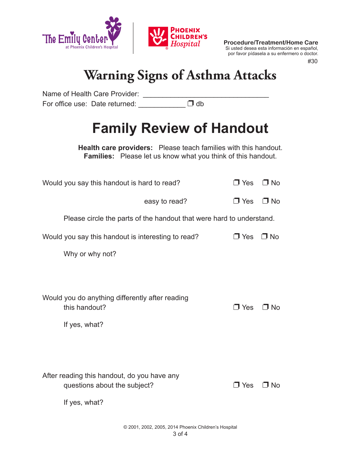

**Procedure/Treatment/Home Care** Si usted desea esta información en español, por favor pídasela a su enfermero o doctor.

#30

## **Warning Signs of Asthma Attacks**

| Name of Health Care Provider:                                               |                                                                        |            |           |  |  |
|-----------------------------------------------------------------------------|------------------------------------------------------------------------|------------|-----------|--|--|
| For office use: Date returned: __                                           | $\Box$ db                                                              |            |           |  |  |
|                                                                             | <b>Family Review of Handout</b>                                        |            |           |  |  |
|                                                                             | <b>Health care providers:</b> Please teach families with this handout. |            |           |  |  |
|                                                                             | <b>Families:</b> Please let us know what you think of this handout.    |            |           |  |  |
| Would you say this handout is hard to read?                                 |                                                                        | $\Box$ Yes | $\Box$ No |  |  |
|                                                                             | easy to read?                                                          | $\Box$ Yes | $\Box$ No |  |  |
| Please circle the parts of the handout that were hard to understand.        |                                                                        |            |           |  |  |
| Would you say this handout is interesting to read?                          |                                                                        | $\Box$ Yes | $\Box$ No |  |  |
| Why or why not?                                                             |                                                                        |            |           |  |  |
|                                                                             |                                                                        |            |           |  |  |
|                                                                             |                                                                        |            |           |  |  |
| Would you do anything differently after reading                             |                                                                        |            |           |  |  |
| this handout?                                                               |                                                                        | $\Box$ Yes | □ No      |  |  |
| If yes, what?                                                               |                                                                        |            |           |  |  |
|                                                                             |                                                                        |            |           |  |  |
|                                                                             |                                                                        |            |           |  |  |
|                                                                             |                                                                        |            |           |  |  |
| After reading this handout, do you have any<br>questions about the subject? |                                                                        | $\Box$ Yes | $\Box$ No |  |  |
| If yes, what?                                                               |                                                                        |            |           |  |  |
|                                                                             |                                                                        |            |           |  |  |
|                                                                             |                                                                        |            |           |  |  |